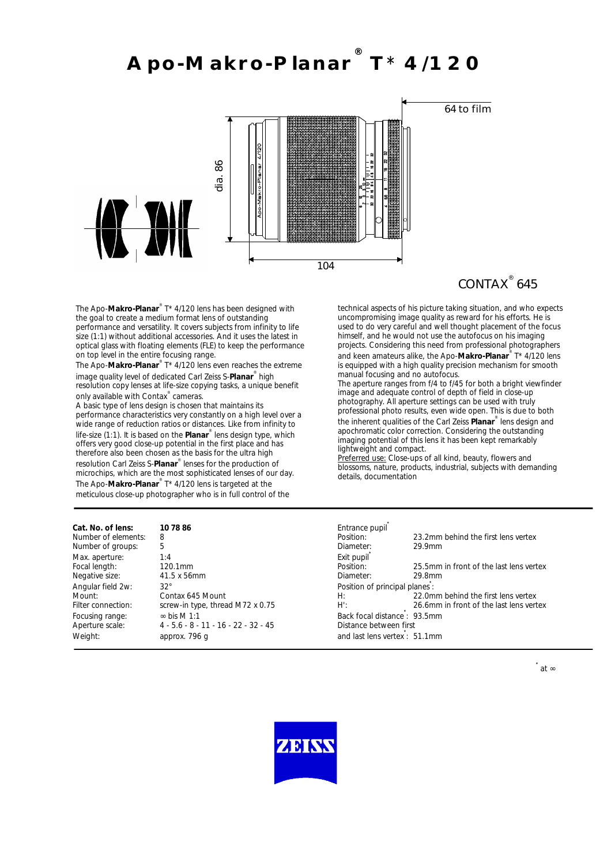### **Apo-Makro-Planar ® T**\* **4/120**



## CONTAX<sup>®</sup> 645

The Apo-**Makro-Planar**® T\* 4/120 lens has been designed with the goal to create a medium format lens of outstanding performance and versatility. It covers subjects from infinity to life size (1:1) without additional accessories. And it uses the latest in optical glass with floating elements (FLE) to keep the performance on top level in the entire focusing range.

The Apo-**Makro-Planar**® T\* 4/120 lens even reaches the extreme image quality level of dedicated Carl Zeiss S-**Planar**® high resolution copy lenses at life-size copying tasks, a unique benefit only available with Contax<sup>®</sup> cameras.

A basic type of lens design is chosen that maintains its performance characteristics very constantly on a high level over a wide range of reduction ratios or distances. Like from infinity to life-size (1:1). It is based on the **Planar**® lens design type, which offers very good close-up potential in the first place and has therefore also been chosen as the basis for the ultra high resolution Carl Zeiss S-**Planar**® lenses for the production of microchips, which are the most sophisticated lenses of our day. The Apo-Makro-Planar<sup>®</sup> T\* 4/120 lens is targeted at the meticulous close-up photographer who is in full control of the

technical aspects of his picture taking situation, and who expects uncompromising image quality as reward for his efforts. He is used to do very careful and well thought placement of the focus himself, and he would not use the autofocus on his imaging projects. Considering this need from professional photographers and keen amateurs alike, the Apo-**Makro-Planar**® T\* 4/120 lens is equipped with a high quality precision mechanism for smooth manual focusing and no autofocus.

The aperture ranges from f/4 to f/45 for both a bright viewfinder image and adequate control of depth of field in close-up photography. All aperture settings can be used with truly professional photo results, even wide open. This is due to both the inherent qualities of the Carl Zeiss **Planar**® lens design and apochromatic color correction. Considering the outstanding imaging potential of this lens it has been kept remarkably lightweight and compact.

Preferred use: Close-ups of all kind, beauty, flowers and blossoms, nature, products, industrial, subjects with demanding details, documentation

| Cat. No. of lens:   | 10 78 86                               | Entrance pupil                 |                                         |
|---------------------|----------------------------------------|--------------------------------|-----------------------------------------|
| Number of elements: | 8                                      | Position:                      | 23.2mm behind the first lens vertex     |
| Number of groups:   | 5                                      | Diameter:                      | 29.9mm                                  |
| Max. aperture:      | 1:4                                    | Exit pupil                     |                                         |
| Focal length:       | 120.1mm                                | Position:                      | 25.5mm in front of the last lens vertex |
| Negative size:      | 41.5 x 56mm                            | Diameter:                      | 29.8mm                                  |
| Angular field 2w:   | $32^\circ$                             | Position of principal planes : |                                         |
| Mount:              | Contax 645 Mount                       | $H$ :                          | 22.0mm behind the first lens vertex     |
| Filter connection:  | screw-in type, thread M72 x 0.75       | H':                            | 26.6mm in front of the last lens vertex |
| Focusing range:     | $\infty$ bis M 1:1                     | Back focal distance: 93.5mm    |                                         |
| Aperture scale:     | $4 - 5.6 - 8 - 11 - 16 - 22 - 32 - 45$ | Distance between first         |                                         |
| Weight:             | approx. 796 q                          | and last lens vertex : 51.1mm  |                                         |

**\***

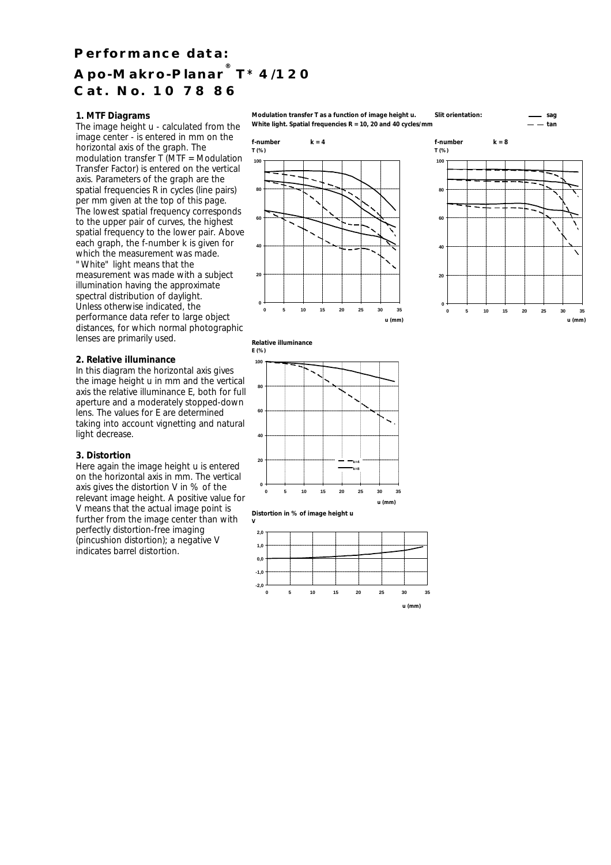# **Performance data: Apo-Makro-Planar ® T**\* **4/120 Cat. No. 10 78 86**

### **1. MTF Diagrams**

The image height u - calculated from the image center - is entered in mm on the horizontal axis of the graph. The modulation transfer T (MTF = Modulation Transfer Factor) is entered on the vertical axis. Parameters of the graph are the spatial frequencies R in cycles (line pairs) per mm given at the top of this page. The lowest spatial frequency corresponds to the upper pair of curves, the highest spatial frequency to the lower pair. Above each graph, the f-number k is given for which the measurement was made. "White" light means that the measurement was made with a subject illumination having the approximate spectral distribution of daylight. Unless otherwise indicated, the performance data refer to large object distances, for which normal photographic lenses are primarily used.

#### **2. Relative illuminance**

In this diagram the horizontal axis gives the image height u in mm and the vertical axis the relative illuminance E, both for full aperture and a moderately stopped-down lens. The values for E are determined taking into account vignetting and natural light decrease.

### **3. Distortion**

Here again the image height u is entered on the horizontal axis in mm. The vertical axis gives the distortion V in % of the relevant image height. A positive value for V means that the actual image point is further from the image center than with perfectly distortion-free imaging (pincushion distortion); a negative V indicates barrel distortion.

**Modulation transfer T as a function of image height u. Slit orientation: sag** White light. Spatial frequencies  $R = 10$ , 20 and 40 cycles/mm









**Distortion in % of image height u**

**V**

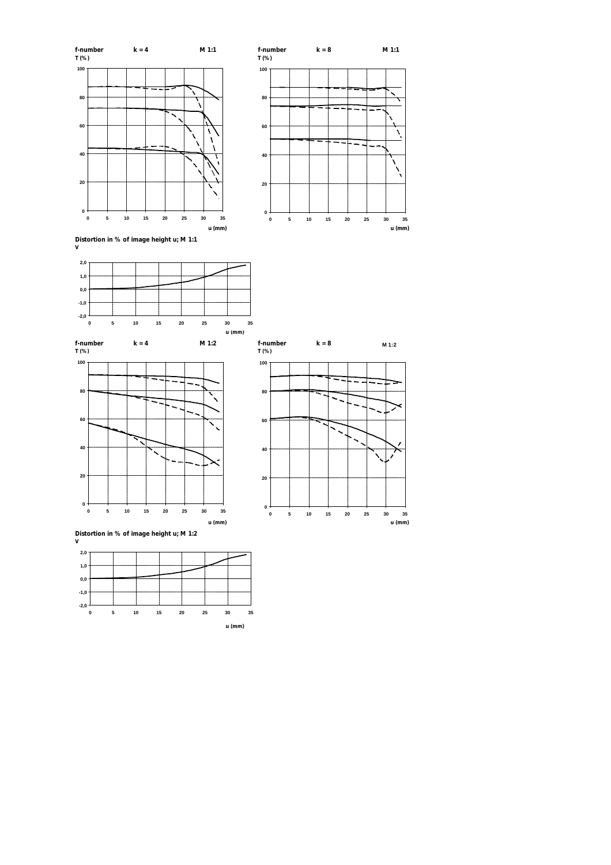